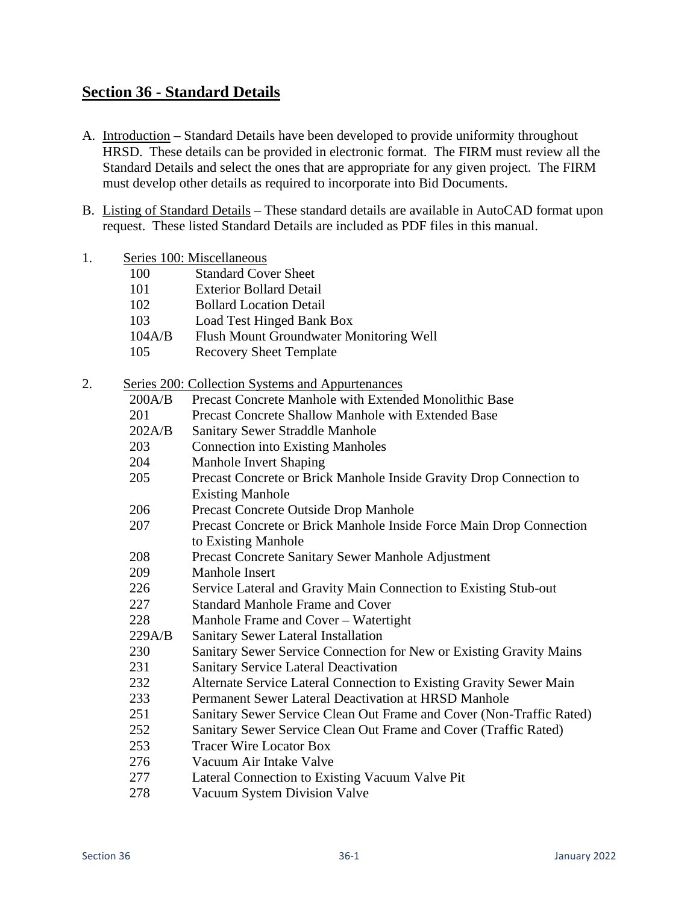## **Section 36 - Standard Details**

- A. Introduction Standard Details have been developed to provide uniformity throughout HRSD. These details can be provided in electronic format. The FIRM must review all the Standard Details and select the ones that are appropriate for any given project. The FIRM must develop other details as required to incorporate into Bid Documents.
- B. Listing of Standard Details These standard details are available in AutoCAD format upon request. These listed Standard Details are included as PDF files in this manual.

|           | Series 100: Miscellaneous |
|-----------|---------------------------|
| $1\Omega$ | $\alpha$ , 1 1 $\alpha$   |

- 100 Standard Cover Sheet
- 101 Exterior Bollard Detail
- 102 Bollard Location Detail
- 103 Load Test Hinged Bank Box
- 104A/B Flush Mount Groundwater Monitoring Well
- 105 Recovery Sheet Template
- 2. Series 200: Collection Systems and Appurtenances

|        | $\epsilon$ 200. Concentral Systems and Appullehances                 |  |  |
|--------|----------------------------------------------------------------------|--|--|
| 200A/B | Precast Concrete Manhole with Extended Monolithic Base               |  |  |
| 201    | <b>Precast Concrete Shallow Manhole with Extended Base</b>           |  |  |
| 202A/B | <b>Sanitary Sewer Straddle Manhole</b>                               |  |  |
| 203    | <b>Connection into Existing Manholes</b>                             |  |  |
| 204    | Manhole Invert Shaping                                               |  |  |
| 205    | Precast Concrete or Brick Manhole Inside Gravity Drop Connection to  |  |  |
|        | <b>Existing Manhole</b>                                              |  |  |
| 206    | Precast Concrete Outside Drop Manhole                                |  |  |
| 207    | Precast Concrete or Brick Manhole Inside Force Main Drop Connection  |  |  |
|        | to Existing Manhole                                                  |  |  |
| 208    | Precast Concrete Sanitary Sewer Manhole Adjustment                   |  |  |
| 209    | <b>Manhole Insert</b>                                                |  |  |
| 226    | Service Lateral and Gravity Main Connection to Existing Stub-out     |  |  |
| 227    | <b>Standard Manhole Frame and Cover</b>                              |  |  |
| 228    | Manhole Frame and Cover – Watertight                                 |  |  |
| 229A/B | Sanitary Sewer Lateral Installation                                  |  |  |
| 230    | Sanitary Sewer Service Connection for New or Existing Gravity Mains  |  |  |
| 231    | <b>Sanitary Service Lateral Deactivation</b>                         |  |  |
| 232    | Alternate Service Lateral Connection to Existing Gravity Sewer Main  |  |  |
| 233    | Permanent Sewer Lateral Deactivation at HRSD Manhole                 |  |  |
| 251    | Sanitary Sewer Service Clean Out Frame and Cover (Non-Traffic Rated) |  |  |
| 252    | Sanitary Sewer Service Clean Out Frame and Cover (Traffic Rated)     |  |  |
| 253    | <b>Tracer Wire Locator Box</b>                                       |  |  |
| 276    | Vacuum Air Intake Valve                                              |  |  |
| 277    | Lateral Connection to Existing Vacuum Valve Pit                      |  |  |
| റൗറ    |                                                                      |  |  |

278 Vacuum System Division Valve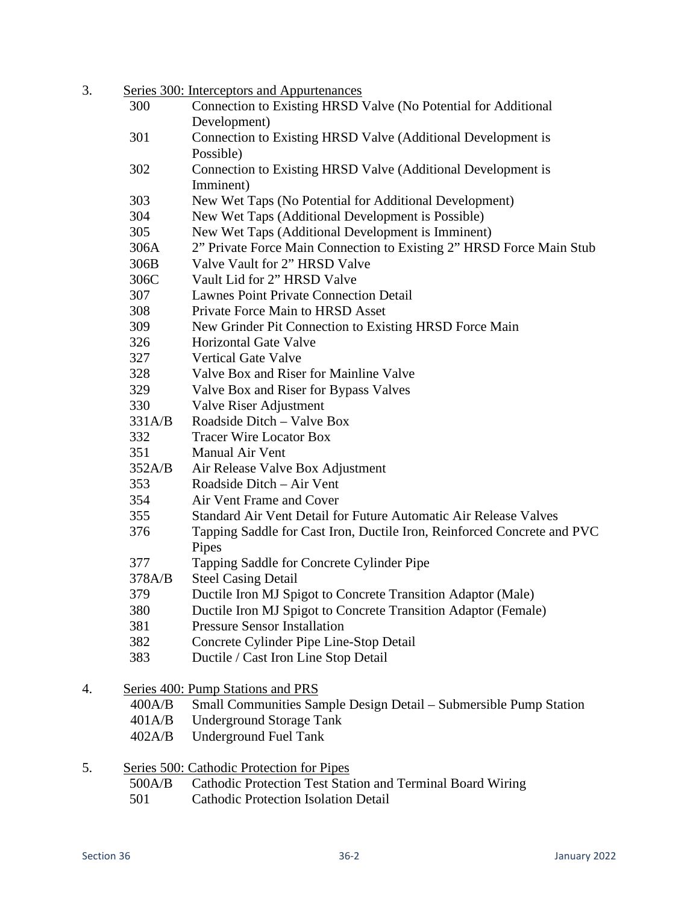| 3. |        | Series 300: Interceptors and Appurtenances                              |
|----|--------|-------------------------------------------------------------------------|
|    | 300    | Connection to Existing HRSD Valve (No Potential for Additional          |
|    |        | Development)                                                            |
|    | 301    | Connection to Existing HRSD Valve (Additional Development is            |
|    |        | Possible)                                                               |
|    | 302    | Connection to Existing HRSD Valve (Additional Development is            |
|    |        | Imminent)                                                               |
|    | 303    | New Wet Taps (No Potential for Additional Development)                  |
|    | 304    | New Wet Taps (Additional Development is Possible)                       |
|    | 305    | New Wet Taps (Additional Development is Imminent)                       |
|    | 306A   | 2" Private Force Main Connection to Existing 2" HRSD Force Main Stub    |
|    | 306B   | Valve Vault for 2" HRSD Valve                                           |
|    | 306C   | Vault Lid for 2" HRSD Valve                                             |
|    | 307    | <b>Lawnes Point Private Connection Detail</b>                           |
|    | 308    | Private Force Main to HRSD Asset                                        |
|    | 309    | New Grinder Pit Connection to Existing HRSD Force Main                  |
|    | 326    | <b>Horizontal Gate Valve</b>                                            |
|    | 327    | <b>Vertical Gate Valve</b>                                              |
|    | 328    | Valve Box and Riser for Mainline Valve                                  |
|    | 329    | Valve Box and Riser for Bypass Valves                                   |
|    | 330    | Valve Riser Adjustment                                                  |
|    | 331A/B | Roadside Ditch - Valve Box                                              |
|    | 332    | <b>Tracer Wire Locator Box</b>                                          |
|    | 351    | <b>Manual Air Vent</b>                                                  |
|    | 352A/B | Air Release Valve Box Adjustment                                        |
|    | 353    | Roadside Ditch – Air Vent                                               |
|    | 354    | Air Vent Frame and Cover                                                |
|    | 355    | Standard Air Vent Detail for Future Automatic Air Release Valves        |
|    | 376    | Tapping Saddle for Cast Iron, Ductile Iron, Reinforced Concrete and PVC |
|    |        | Pipes                                                                   |
|    | 377    | Tapping Saddle for Concrete Cylinder Pipe                               |
|    | 378A/B | <b>Steel Casing Detail</b>                                              |
|    | 379    | Ductile Iron MJ Spigot to Concrete Transition Adaptor (Male)            |
|    | 380    | Ductile Iron MJ Spigot to Concrete Transition Adaptor (Female)          |
|    | 381    | <b>Pressure Sensor Installation</b>                                     |
|    | 382    | Concrete Cylinder Pipe Line-Stop Detail                                 |
|    | 383    | Ductile / Cast Iron Line Stop Detail                                    |
| 4. |        | Series 400: Pump Stations and PRS                                       |
|    | 400A/B | Small Communities Sample Design Detail – Submersible Pump Station       |
|    | 401A/B | <b>Underground Storage Tank</b>                                         |
|    | 402A/B | <b>Underground Fuel Tank</b>                                            |
| 5. |        | Series 500: Cathodic Protection for Pipes                               |

- 500A/B Cathodic Protection Test Station and Terminal Board Wiring
- 501 Cathodic Protection Isolation Detail